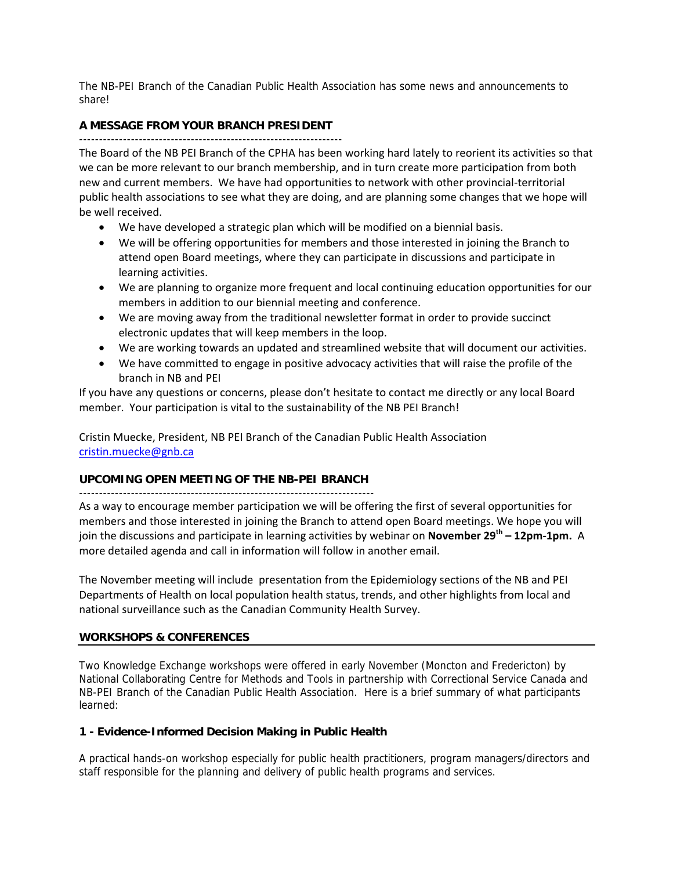The NB-PEI Branch of the Canadian Public Health Association has some news and announcements to share!

## **A MESSAGE FROM YOUR BRANCH PRESIDENT**

------------------------------------------------------------------

The Board of the NB PEI Branch of the CPHA has been working hard lately to reorient its activities so that we can be more relevant to our branch membership, and in turn create more participation from both new and current members. We have had opportunities to network with other provincial‐territorial public health associations to see what they are doing, and are planning some changes that we hope will be well received.

- We have developed a strategic plan which will be modified on a biennial basis.
- We will be offering opportunities for members and those interested in joining the Branch to attend open Board meetings, where they can participate in discussions and participate in learning activities.
- We are planning to organize more frequent and local continuing education opportunities for our members in addition to our biennial meeting and conference.
- We are moving away from the traditional newsletter format in order to provide succinct electronic updates that will keep members in the loop.
- We are working towards an updated and streamlined website that will document our activities.
- We have committed to engage in positive advocacy activities that will raise the profile of the branch in NB and PEI

If you have any questions or concerns, please don't hesitate to contact me directly or any local Board member. Your participation is vital to the sustainability of the NB PEI Branch!

Cristin Muecke, President, NB PEI Branch of the Canadian Public Health Association cristin.muecke@gnb.ca

### **UPCOMING OPEN MEETING OF THE NB-PEI BRANCH**

--------------------------------------------------------------------------

As a way to encourage member participation we will be offering the first of several opportunities for members and those interested in joining the Branch to attend open Board meetings. We hope you will join the discussions and participate in learning activities by webinar on **November 29th – 12pm‐1pm.** A more detailed agenda and call in information will follow in another email.

The November meeting will include presentation from the Epidemiology sections of the NB and PEI Departments of Health on local population health status, trends, and other highlights from local and national surveillance such as the Canadian Community Health Survey.

### **WORKSHOPS & CONFERENCES**

Two Knowledge Exchange workshops were offered in early November (Moncton and Fredericton) by National Collaborating Centre for Methods and Tools in partnership with Correctional Service Canada and NB-PEI Branch of the Canadian Public Health Association. Here is a brief summary of what participants learned:

### **1 - Evidence-Informed Decision Making in Public Health**

A practical hands-on workshop especially for public health practitioners, program managers/directors and staff responsible for the planning and delivery of public health programs and services.